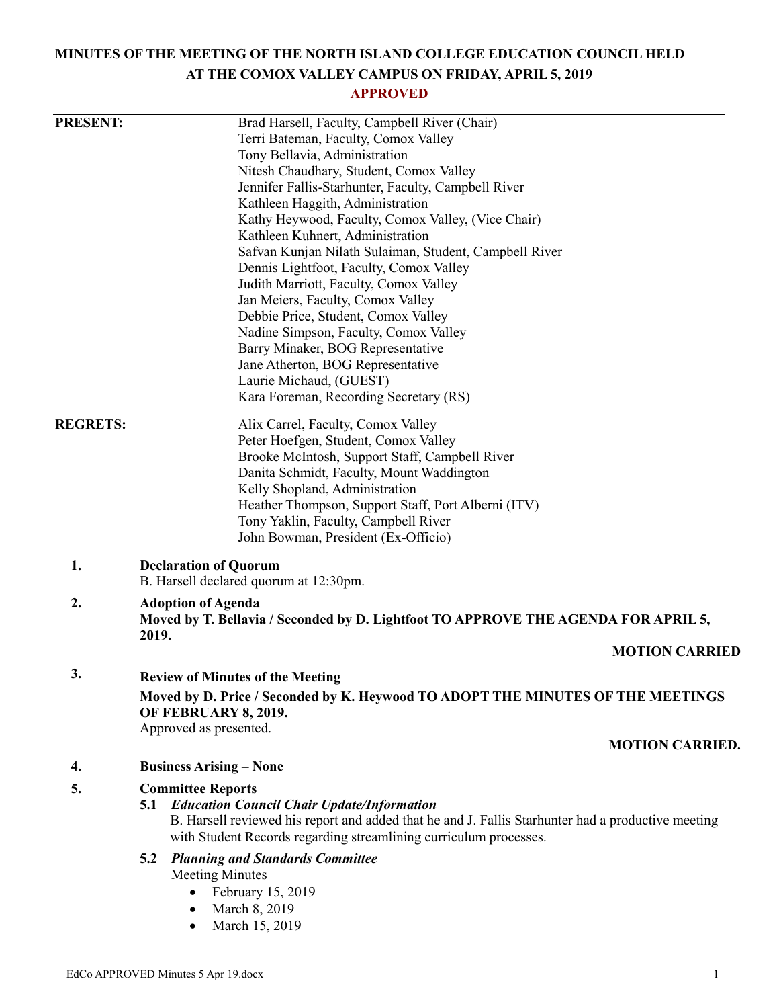# **MINUTES OF THE MEETING OF THE NORTH ISLAND COLLEGE EDUCATION COUNCIL HELD AT THE COMOX VALLEY CAMPUS ON FRIDAY, APRIL 5, 2019**

# **APPROVED**

| <b>PRESENT:</b> | Brad Harsell, Faculty, Campbell River (Chair)                                                                                                                           |
|-----------------|-------------------------------------------------------------------------------------------------------------------------------------------------------------------------|
|                 | Terri Bateman, Faculty, Comox Valley                                                                                                                                    |
|                 | Tony Bellavia, Administration                                                                                                                                           |
|                 | Nitesh Chaudhary, Student, Comox Valley                                                                                                                                 |
|                 | Jennifer Fallis-Starhunter, Faculty, Campbell River                                                                                                                     |
|                 | Kathleen Haggith, Administration                                                                                                                                        |
|                 | Kathy Heywood, Faculty, Comox Valley, (Vice Chair)                                                                                                                      |
|                 | Kathleen Kuhnert, Administration                                                                                                                                        |
|                 | Safvan Kunjan Nilath Sulaiman, Student, Campbell River                                                                                                                  |
|                 | Dennis Lightfoot, Faculty, Comox Valley                                                                                                                                 |
|                 | Judith Marriott, Faculty, Comox Valley                                                                                                                                  |
|                 | Jan Meiers, Faculty, Comox Valley                                                                                                                                       |
|                 | Debbie Price, Student, Comox Valley                                                                                                                                     |
|                 | Nadine Simpson, Faculty, Comox Valley                                                                                                                                   |
|                 | Barry Minaker, BOG Representative                                                                                                                                       |
|                 | Jane Atherton, BOG Representative                                                                                                                                       |
|                 | Laurie Michaud, (GUEST)                                                                                                                                                 |
|                 | Kara Foreman, Recording Secretary (RS)                                                                                                                                  |
| <b>REGRETS:</b> | Alix Carrel, Faculty, Comox Valley                                                                                                                                      |
|                 | Peter Hoefgen, Student, Comox Valley                                                                                                                                    |
|                 | Brooke McIntosh, Support Staff, Campbell River                                                                                                                          |
|                 | Danita Schmidt, Faculty, Mount Waddington                                                                                                                               |
|                 | Kelly Shopland, Administration                                                                                                                                          |
|                 | Heather Thompson, Support Staff, Port Alberni (ITV)                                                                                                                     |
|                 | Tony Yaklin, Faculty, Campbell River                                                                                                                                    |
|                 | John Bowman, President (Ex-Officio)                                                                                                                                     |
| 1.              | <b>Declaration of Quorum</b><br>B. Harsell declared quorum at 12:30pm.                                                                                                  |
|                 |                                                                                                                                                                         |
| 2.              | <b>Adoption of Agenda</b><br>Moved by T. Bellavia / Seconded by D. Lightfoot TO APPROVE THE AGENDA FOR APRIL 5,                                                         |
|                 | 2019.<br><b>MOTION CARRIED</b>                                                                                                                                          |
| 3.              | <b>Review of Minutes of the Meeting</b>                                                                                                                                 |
|                 | Moved by D. Price / Seconded by K. Heywood TO ADOPT THE MINUTES OF THE MEETINGS<br>OF FEBRUARY 8, 2019.                                                                 |
|                 | Approved as presented.                                                                                                                                                  |
|                 | <b>MOTION CARRIED.</b>                                                                                                                                                  |
| 4.              | <b>Business Arising – None</b>                                                                                                                                          |
| 5.              | <b>Committee Reports</b>                                                                                                                                                |
|                 | <b>5.1 Education Council Chair Update/Information</b>                                                                                                                   |
|                 | B. Harsell reviewed his report and added that he and J. Fallis Starhunter had a productive meeting<br>with Student Records regarding streamlining curriculum processes. |
|                 | 5.2<br><b>Planning and Standards Committee</b>                                                                                                                          |
|                 | <b>Meeting Minutes</b>                                                                                                                                                  |
|                 | February 15, 2019                                                                                                                                                       |
|                 | March 8, 2019                                                                                                                                                           |
|                 | March 15, 2019                                                                                                                                                          |
|                 |                                                                                                                                                                         |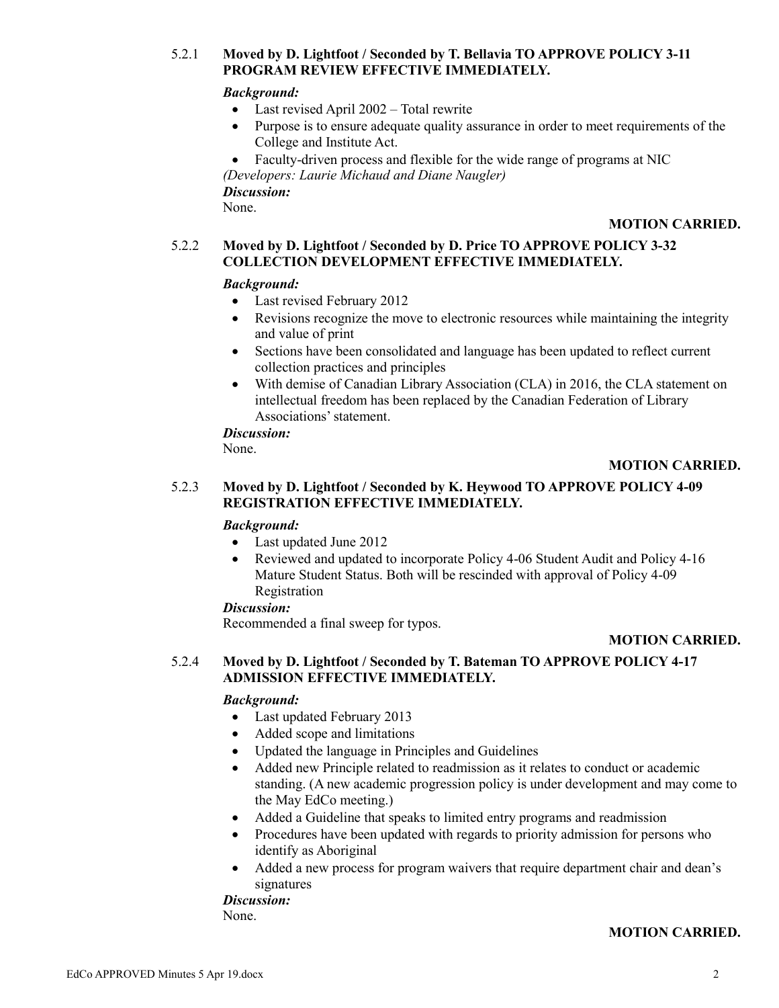# 5.2.1 **Moved by D. Lightfoot / Seconded by T. Bellavia TO APPROVE POLICY 3-11 PROGRAM REVIEW EFFECTIVE IMMEDIATELY.**

# *Background:*

- Last revised April 2002 Total rewrite
- Purpose is to ensure adequate quality assurance in order to meet requirements of the College and Institute Act.
- Faculty-driven process and flexible for the wide range of programs at NIC

*(Developers: Laurie Michaud and Diane Naugler)*

*Discussion:*

None.

# **MOTION CARRIED.**

# 5.2.2 **Moved by D. Lightfoot / Seconded by D. Price TO APPROVE POLICY 3-32 COLLECTION DEVELOPMENT EFFECTIVE IMMEDIATELY.**

# *Background:*

- Last revised February 2012
- Revisions recognize the move to electronic resources while maintaining the integrity and value of print
- Sections have been consolidated and language has been updated to reflect current collection practices and principles
- With demise of Canadian Library Association (CLA) in 2016, the CLA statement on intellectual freedom has been replaced by the Canadian Federation of Library Associations' statement.

## *Discussion:*

None.

# **MOTION CARRIED.**

# 5.2.3 **Moved by D. Lightfoot / Seconded by K. Heywood TO APPROVE POLICY 4-09 REGISTRATION EFFECTIVE IMMEDIATELY.**

## *Background:*

- Last updated June 2012
- Reviewed and updated to incorporate Policy 4-06 Student Audit and Policy 4-16 Mature Student Status. Both will be rescinded with approval of Policy 4-09 Registration

## *Discussion:*

Recommended a final sweep for typos.

# **MOTION CARRIED.**

# 5.2.4 **Moved by D. Lightfoot / Seconded by T. Bateman TO APPROVE POLICY 4-17 ADMISSION EFFECTIVE IMMEDIATELY.**

# *Background:*

- Last updated February 2013
- Added scope and limitations
- Updated the language in Principles and Guidelines
- Added new Principle related to readmission as it relates to conduct or academic standing. (A new academic progression policy is under development and may come to the May EdCo meeting.)
- Added a Guideline that speaks to limited entry programs and readmission
- Procedures have been updated with regards to priority admission for persons who identify as Aboriginal
- Added a new process for program waivers that require department chair and dean's signatures

*Discussion:* None.

# **MOTION CARRIED.**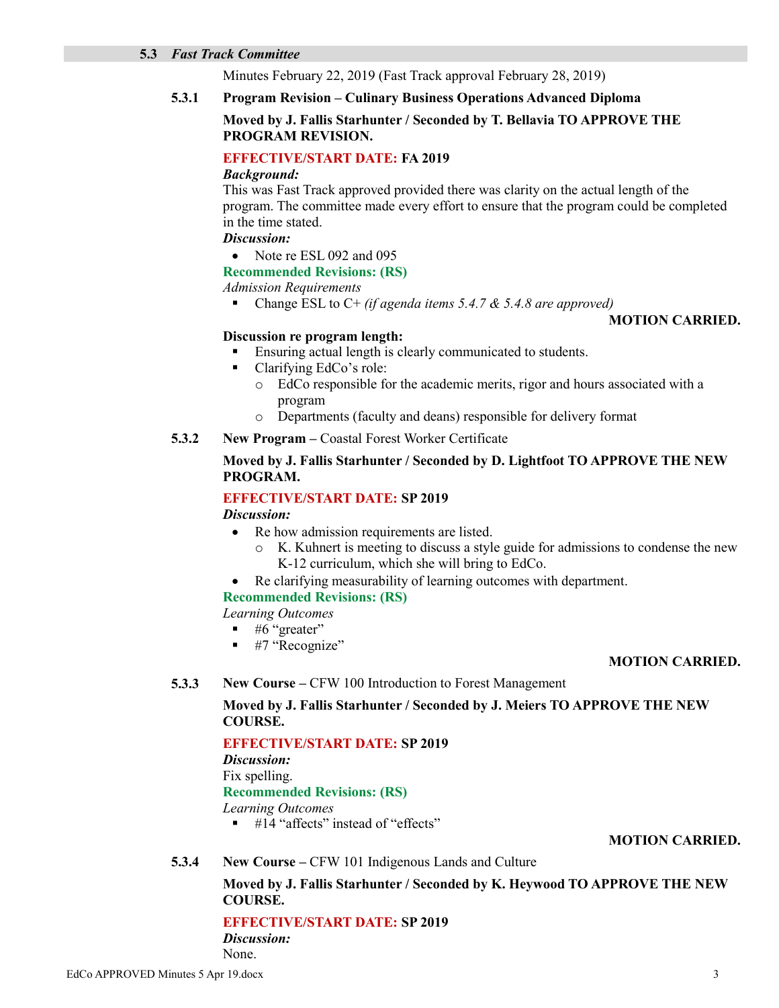#### **5.3** *Fast Track Committee*

Minutes February 22, 2019 (Fast Track approval February 28, 2019)

# **5.3.1 Program Revision – Culinary Business Operations Advanced Diploma**

## **Moved by J. Fallis Starhunter / Seconded by T. Bellavia TO APPROVE THE PROGRAM REVISION.**

## **EFFECTIVE/START DATE: FA 2019**

#### *Background:*

This was Fast Track approved provided there was clarity on the actual length of the program. The committee made every effort to ensure that the program could be completed in the time stated.

# *Discussion:*

• Note re ESL 092 and 095

# **Recommended Revisions: (RS)**

#### *Admission Requirements*

Change ESL to C+ *(if agenda items 5.4.7 & 5.4.8 are approved)*

# **MOTION CARRIED.**

## **Discussion re program length:**

- Ensuring actual length is clearly communicated to students.
- Clarifying EdCo's role:
	- o EdCo responsible for the academic merits, rigor and hours associated with a program
	- o Departments (faculty and deans) responsible for delivery format
- **5.3.2 New Program –** Coastal Forest Worker Certificate

# **Moved by J. Fallis Starhunter / Seconded by D. Lightfoot TO APPROVE THE NEW PROGRAM.**

# **EFFECTIVE/START DATE: SP 2019**

*Discussion:*

- Re how admission requirements are listed.
	- o K. Kuhnert is meeting to discuss a style guide for admissions to condense the new K-12 curriculum, which she will bring to EdCo.
- Re clarifying measurability of learning outcomes with department.

#### **Recommended Revisions: (RS)**

*Learning Outcomes*

- $\blacksquare$  #6 "greater"
- #7 "Recognize"

## **MOTION CARRIED.**

**5.3.3 New Course –** CFW 100 Introduction to Forest Management

## **Moved by J. Fallis Starhunter / Seconded by J. Meiers TO APPROVE THE NEW COURSE.**

# **EFFECTIVE/START DATE: SP 2019**

*Discussion:*

## Fix spelling.

#### **Recommended Revisions: (RS)**

*Learning Outcomes*

 $\blacksquare$  #14 "affects" instead of "effects"

## **MOTION CARRIED.**

**5.3.4 New Course –** CFW 101 Indigenous Lands and Culture

## **Moved by J. Fallis Starhunter / Seconded by K. Heywood TO APPROVE THE NEW COURSE.**

# **EFFECTIVE/START DATE: SP 2019**

*Discussion:* None.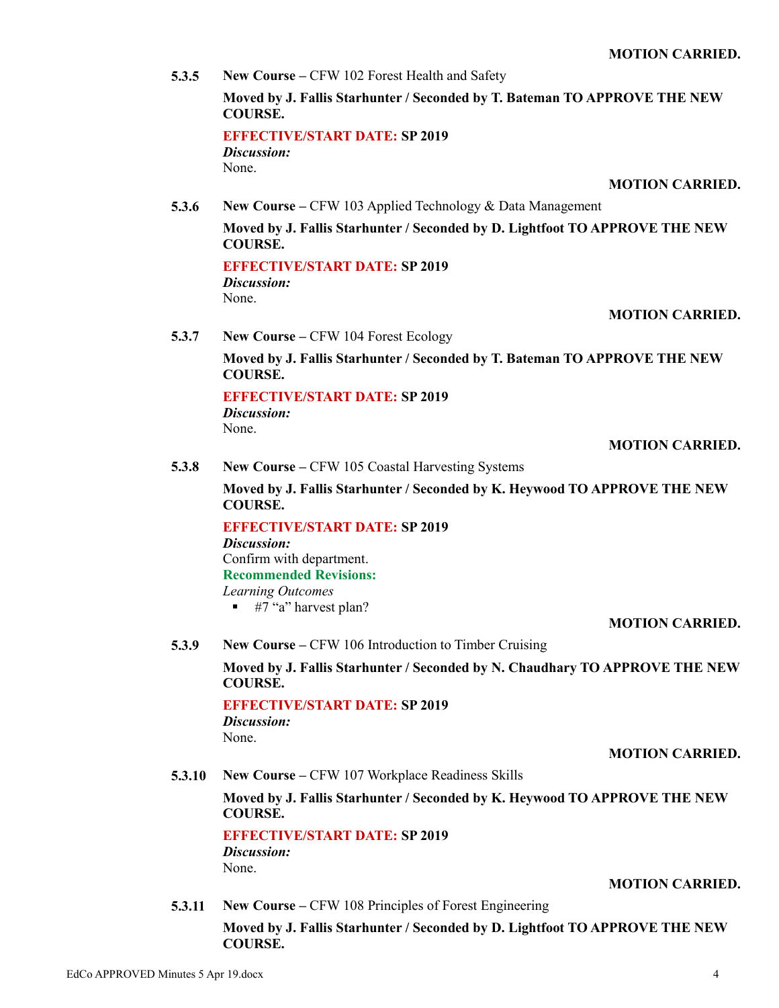**5.3.5 New Course –** CFW 102 Forest Health and Safety **Moved by J. Fallis Starhunter / Seconded by T. Bateman TO APPROVE THE NEW COURSE. EFFECTIVE/START DATE: SP 2019** *Discussion:*

None.

#### **MOTION CARRIED.**

**5.3.6 New Course –** CFW 103 Applied Technology & Data Management

**Moved by J. Fallis Starhunter / Seconded by D. Lightfoot TO APPROVE THE NEW COURSE.**

**EFFECTIVE/START DATE: SP 2019** *Discussion:* None.

#### **MOTION CARRIED.**

**5.3.7 New Course –** CFW 104 Forest Ecology

**Moved by J. Fallis Starhunter / Seconded by T. Bateman TO APPROVE THE NEW COURSE.**

#### **EFFECTIVE/START DATE: SP 2019**

*Discussion:* None.

#### **MOTION CARRIED.**

**5.3.8 New Course –** CFW 105 Coastal Harvesting Systems

**Moved by J. Fallis Starhunter / Seconded by K. Heywood TO APPROVE THE NEW COURSE.**

**EFFECTIVE/START DATE: SP 2019** *Discussion:* Confirm with department. **Recommended Revisions:** *Learning Outcomes*

 $\blacksquare$  #7 "a" harvest plan?

## **MOTION CARRIED.**

**5.3.9 New Course –** CFW 106 Introduction to Timber Cruising

**Moved by J. Fallis Starhunter / Seconded by N. Chaudhary TO APPROVE THE NEW COURSE.**

**EFFECTIVE/START DATE: SP 2019** *Discussion:* None.

#### **MOTION CARRIED.**

**5.3.10 New Course –** CFW 107 Workplace Readiness Skills

**Moved by J. Fallis Starhunter / Seconded by K. Heywood TO APPROVE THE NEW COURSE.**

**EFFECTIVE/START DATE: SP 2019** *Discussion:* None.

**MOTION CARRIED.**

**5.3.11 New Course –** CFW 108 Principles of Forest Engineering **Moved by J. Fallis Starhunter / Seconded by D. Lightfoot TO APPROVE THE NEW COURSE.**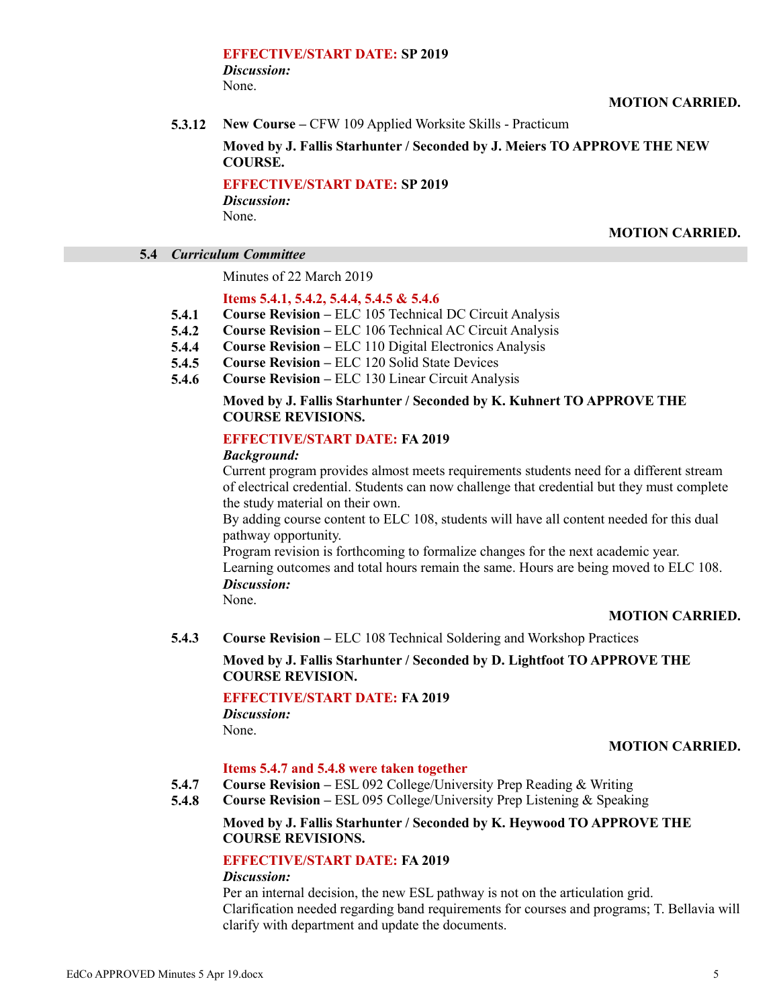#### **EFFECTIVE/START DATE: SP 2019** *Discussion:* None.

**MOTION CARRIED.**

**5.3.12 New Course –** CFW 109 Applied Worksite Skills - Practicum

# **Moved by J. Fallis Starhunter / Seconded by J. Meiers TO APPROVE THE NEW COURSE.**

**EFFECTIVE/START DATE: SP 2019** *Discussion:*

None.

### **MOTION CARRIED.**

# **5.4** *Curriculum Committee*

Minutes of 22 March 2019

# **Items 5.4.1, 5.4.2, 5.4.4, 5.4.5 & 5.4.6**

- **5.4.1 Course Revision –** ELC 105 Technical DC Circuit Analysis
- **5.4.2 Course Revision –** ELC 106 Technical AC Circuit Analysis
- **5.4.4 Course Revision –** ELC 110 Digital Electronics Analysis
- **5.4.5 Course Revision –** ELC 120 Solid State Devices
- **5.4.6 Course Revision –** ELC 130 Linear Circuit Analysis

## **Moved by J. Fallis Starhunter / Seconded by K. Kuhnert TO APPROVE THE COURSE REVISIONS.**

## **EFFECTIVE/START DATE: FA 2019**

#### *Background:*

Current program provides almost meets requirements students need for a different stream of electrical credential. Students can now challenge that credential but they must complete the study material on their own.

By adding course content to ELC 108, students will have all content needed for this dual pathway opportunity.

Program revision is forthcoming to formalize changes for the next academic year. Learning outcomes and total hours remain the same. Hours are being moved to ELC 108. *Discussion:*

None.

## **MOTION CARRIED.**

**5.4.3 Course Revision –** ELC 108 Technical Soldering and Workshop Practices

## **Moved by J. Fallis Starhunter / Seconded by D. Lightfoot TO APPROVE THE COURSE REVISION.**

## **EFFECTIVE/START DATE: FA 2019**

*Discussion:* None.

## **MOTION CARRIED.**

#### **Items 5.4.7 and 5.4.8 were taken together**

- **5.4.7 Course Revision –** ESL 092 College/University Prep Reading & Writing
- **5.4.8 Course Revision –** ESL 095 College/University Prep Listening & Speaking

## **Moved by J. Fallis Starhunter / Seconded by K. Heywood TO APPROVE THE COURSE REVISIONS.**

# **EFFECTIVE/START DATE: FA 2019**

### *Discussion:*

Per an internal decision, the new ESL pathway is not on the articulation grid. Clarification needed regarding band requirements for courses and programs; T. Bellavia will clarify with department and update the documents.